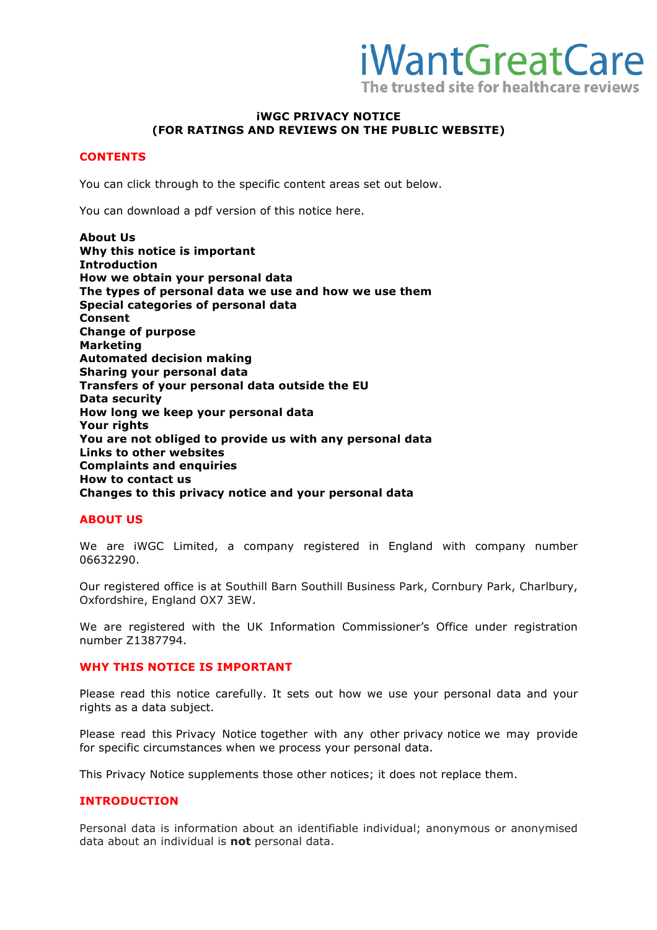

### **iWGC PRIVACY NOTICE (FOR RATINGS AND REVIEWS ON THE PUBLIC WEBSITE)**

### **CONTENTS**

You can click through to the specific content areas set out below.

You can download a pdf version of this notice here.

**About Us Why this notice is important Introduction How we obtain your personal data The types of personal data we use and how we use them Special categories of personal data Consent Change of purpose Marketing Automated decision making Sharing your personal data Transfers of your personal data outside the EU Data security How long we keep your personal data Your rights You are not obliged to provide us with any personal data Links to other websites Complaints and enquiries How to contact us Changes to this privacy notice and your personal data** 

### **ABOUT US**

We are iWGC Limited, a company registered in England with company number 06632290.

Our registered office is at Southill Barn Southill Business Park, Cornbury Park, Charlbury, Oxfordshire, England OX7 3EW.

We are registered with the UK Information Commissioner's Office under registration number Z1387794.

### **WHY THIS NOTICE IS IMPORTANT**

Please read this notice carefully. It sets out how we use your personal data and your rights as a data subject.

Please read this Privacy Notice together with any other privacy notice we may provide for specific circumstances when we process your personal data.

This Privacy Notice supplements those other notices; it does not replace them.

### **INTRODUCTION**

Personal data is information about an identifiable individual; anonymous or anonymised data about an individual is **not** personal data.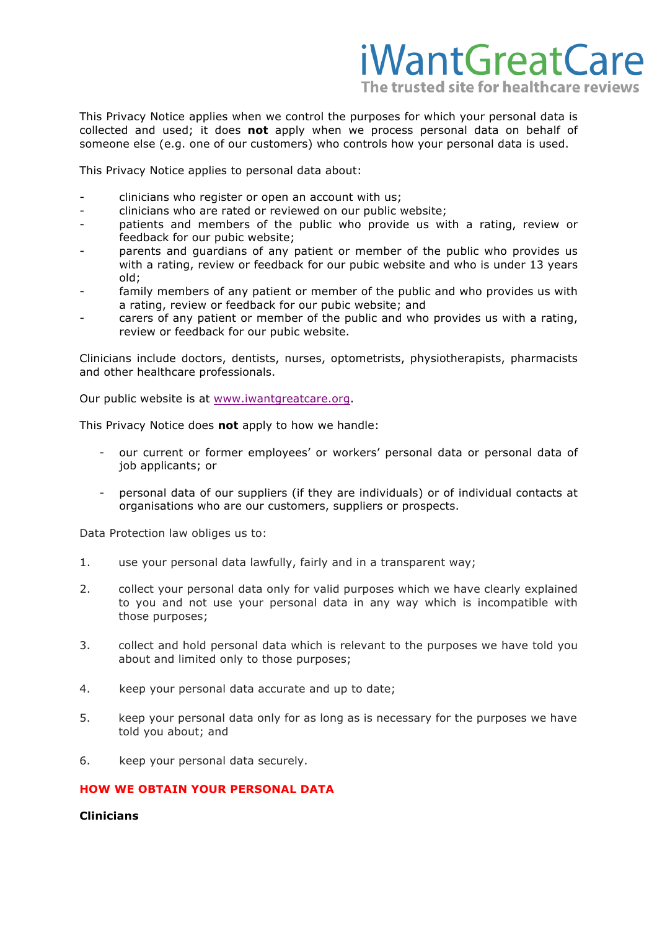

This Privacy Notice applies when we control the purposes for which your personal data is collected and used; it does **not** apply when we process personal data on behalf of someone else (e.g. one of our customers) who controls how your personal data is used.

This Privacy Notice applies to personal data about:

- clinicians who register or open an account with us;
- clinicians who are rated or reviewed on our public website;
- patients and members of the public who provide us with a rating, review or feedback for our pubic website;
- parents and quardians of any patient or member of the public who provides us with a rating, review or feedback for our pubic website and who is under 13 years old;
- family members of any patient or member of the public and who provides us with a rating, review or feedback for our pubic website; and
- carers of any patient or member of the public and who provides us with a rating, review or feedback for our pubic website.

Clinicians include doctors, dentists, nurses, optometrists, physiotherapists, pharmacists and other healthcare professionals.

Our public website is at [www.iwantgreatcare.org](http://www.iwantgreatcare.org).

This Privacy Notice does **not** apply to how we handle:

- our current or former employees' or workers' personal data or personal data of job applicants; or
- personal data of our suppliers (if they are individuals) or of individual contacts at organisations who are our customers, suppliers or prospects.

Data Protection law obliges us to:

- 1. use your personal data lawfully, fairly and in a transparent way;
- 2. collect your personal data only for valid purposes which we have clearly explained to you and not use your personal data in any way which is incompatible with those purposes;
- 3. collect and hold personal data which is relevant to the purposes we have told you about and limited only to those purposes;
- 4. keep your personal data accurate and up to date;
- 5. keep your personal data only for as long as is necessary for the purposes we have told you about; and
- 6. keep your personal data securely.

### **HOW WE OBTAIN YOUR PERSONAL DATA**

### **Clinicians**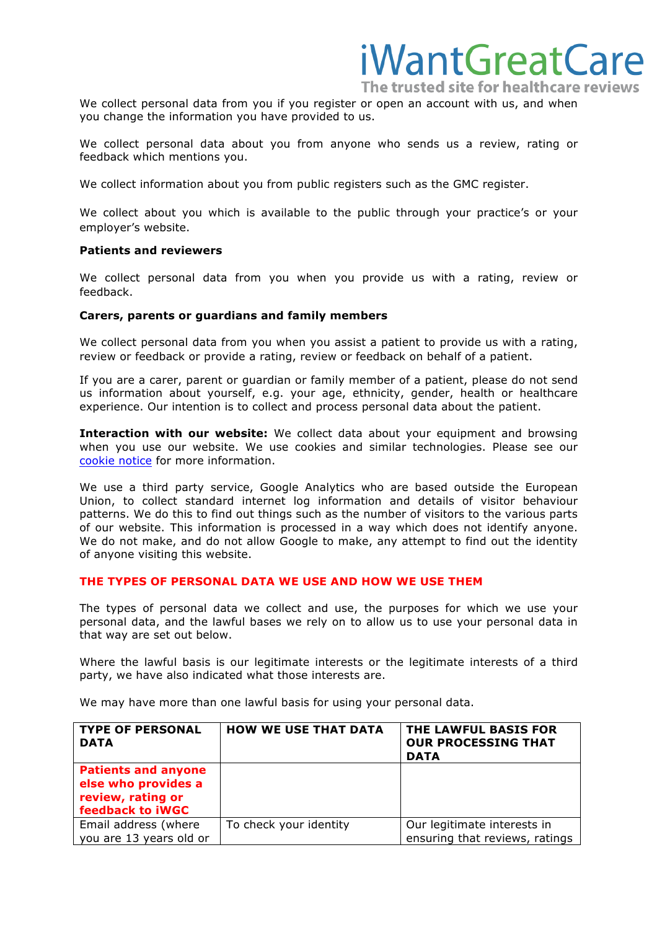The trusted site for healthcare reviews We collect personal data from you if you register or open an account with us, and when you change the information you have provided to us.

iWantGreatCare

We collect personal data about you from anyone who sends us a review, rating or feedback which mentions you.

We collect information about you from public registers such as the GMC register.

We collect about you which is available to the public through your practice's or your employer's website.

#### **Patients and reviewers**

We collect personal data from you when you provide us with a rating, review or feedback.

#### **Carers, parents or guardians and family members**

We collect personal data from you when you assist a patient to provide us with a rating, review or feedback or provide a rating, review or feedback on behalf of a patient.

If you are a carer, parent or guardian or family member of a patient, please do not send us information about yourself, e.g. your age, ethnicity, gender, health or healthcare experience. Our intention is to collect and process personal data about the patient.

**Interaction with our website:** We collect data about your equipment and browsing when you use our website. We use cookies and similar technologies. Please see our [cookie notice](https://www.iwantgreatcare.org/information/cookies) for more information.

We use a third party service, Google Analytics who are based outside the European Union, to collect standard internet log information and details of visitor behaviour patterns. We do this to find out things such as the number of visitors to the various parts of our website. This information is processed in a way which does not identify anyone. We do not make, and do not allow Google to make, any attempt to find out the identity of anyone visiting this website.

### **THE TYPES OF PERSONAL DATA WE USE AND HOW WE USE THEM**

The types of personal data we collect and use, the purposes for which we use your personal data, and the lawful bases we rely on to allow us to use your personal data in that way are set out below.

Where the lawful basis is our legitimate interests or the legitimate interests of a third party, we have also indicated what those interests are.

We may have more than one lawful basis for using your personal data.

| <b>TYPE OF PERSONAL</b><br><b>DATA</b>                                                            | <b>HOW WE USE THAT DATA</b> | THE LAWFUL BASIS FOR<br><b>OUR PROCESSING THAT</b><br><b>DATA</b> |
|---------------------------------------------------------------------------------------------------|-----------------------------|-------------------------------------------------------------------|
| <b>Patients and anyone</b><br>else who provides a<br>review, rating or<br><b>feedback to iWGC</b> |                             |                                                                   |
| Email address (where<br>you are 13 years old or                                                   | To check your identity      | Our legitimate interests in<br>ensuring that reviews, ratings     |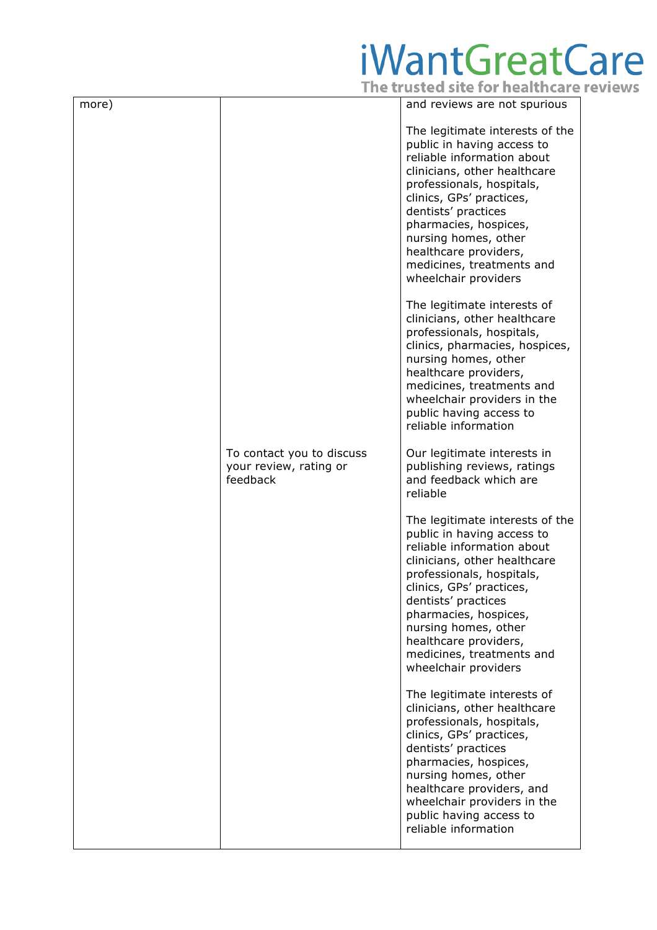| more) |                                                                 | and reviews are not spurious                                                                                                                                                                                                                                                                                                               |
|-------|-----------------------------------------------------------------|--------------------------------------------------------------------------------------------------------------------------------------------------------------------------------------------------------------------------------------------------------------------------------------------------------------------------------------------|
|       |                                                                 | The legitimate interests of the<br>public in having access to<br>reliable information about<br>clinicians, other healthcare<br>professionals, hospitals,<br>clinics, GPs' practices,<br>dentists' practices<br>pharmacies, hospices,<br>nursing homes, other<br>healthcare providers,<br>medicines, treatments and<br>wheelchair providers |
|       |                                                                 | The legitimate interests of<br>clinicians, other healthcare<br>professionals, hospitals,<br>clinics, pharmacies, hospices,<br>nursing homes, other<br>healthcare providers,<br>medicines, treatments and<br>wheelchair providers in the<br>public having access to<br>reliable information                                                 |
|       | To contact you to discuss<br>your review, rating or<br>feedback | Our legitimate interests in<br>publishing reviews, ratings<br>and feedback which are<br>reliable                                                                                                                                                                                                                                           |
|       |                                                                 | The legitimate interests of the<br>public in having access to<br>reliable information about<br>clinicians, other healthcare<br>professionals, hospitals,<br>clinics, GPs' practices,<br>dentists' practices<br>pharmacies, hospices,<br>nursing homes, other<br>healthcare providers,<br>medicines, treatments and<br>wheelchair providers |
|       |                                                                 | The legitimate interests of<br>clinicians, other healthcare<br>professionals, hospitals,<br>clinics, GPs' practices,<br>dentists' practices<br>pharmacies, hospices,<br>nursing homes, other<br>healthcare providers, and<br>wheelchair providers in the<br>public having access to<br>reliable information                                |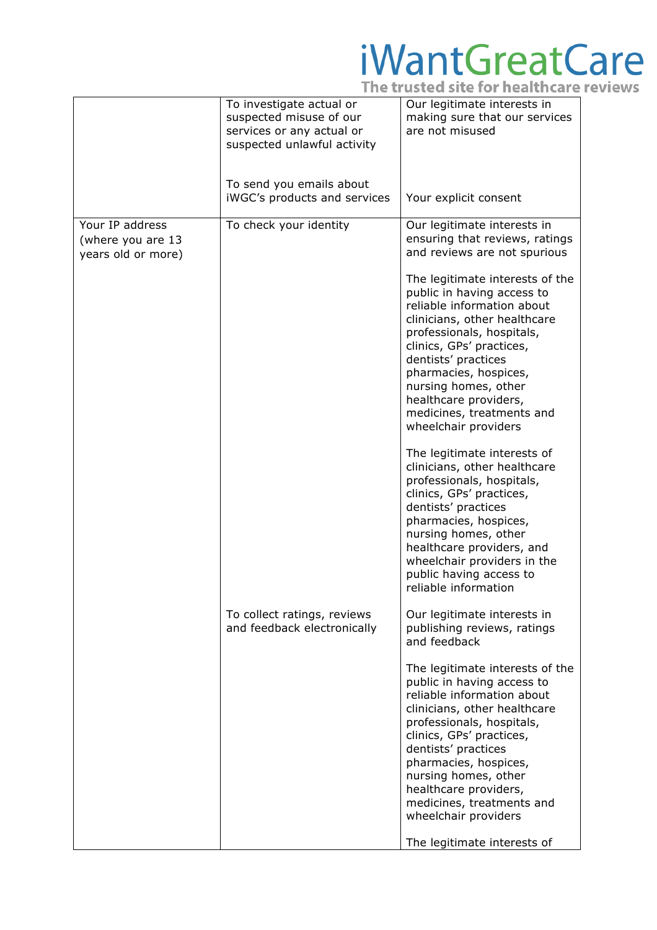|                                                            | To investigate actual or<br>suspected misuse of our<br>services or any actual or<br>suspected unlawful activity | Our legitimate interests in<br>making sure that our services<br>are not misused                                                                                                                                                                                                                                                            |
|------------------------------------------------------------|-----------------------------------------------------------------------------------------------------------------|--------------------------------------------------------------------------------------------------------------------------------------------------------------------------------------------------------------------------------------------------------------------------------------------------------------------------------------------|
|                                                            | To send you emails about<br>iWGC's products and services                                                        | Your explicit consent                                                                                                                                                                                                                                                                                                                      |
| Your IP address<br>(where you are 13<br>years old or more) | To check your identity                                                                                          | Our legitimate interests in<br>ensuring that reviews, ratings<br>and reviews are not spurious                                                                                                                                                                                                                                              |
|                                                            |                                                                                                                 | The legitimate interests of the<br>public in having access to<br>reliable information about<br>clinicians, other healthcare<br>professionals, hospitals,<br>clinics, GPs' practices,<br>dentists' practices<br>pharmacies, hospices,<br>nursing homes, other<br>healthcare providers,<br>medicines, treatments and<br>wheelchair providers |
|                                                            |                                                                                                                 | The legitimate interests of<br>clinicians, other healthcare<br>professionals, hospitals,<br>clinics, GPs' practices,<br>dentists' practices<br>pharmacies, hospices,<br>nursing homes, other<br>healthcare providers, and<br>wheelchair providers in the<br>public having access to<br>reliable information                                |
|                                                            | To collect ratings, reviews<br>and feedback electronically                                                      | Our legitimate interests in<br>publishing reviews, ratings<br>and feedback                                                                                                                                                                                                                                                                 |
|                                                            |                                                                                                                 | The legitimate interests of the<br>public in having access to<br>reliable information about<br>clinicians, other healthcare<br>professionals, hospitals,<br>clinics, GPs' practices,<br>dentists' practices<br>pharmacies, hospices,<br>nursing homes, other<br>healthcare providers,<br>medicines, treatments and<br>wheelchair providers |
|                                                            |                                                                                                                 | The legitimate interests of                                                                                                                                                                                                                                                                                                                |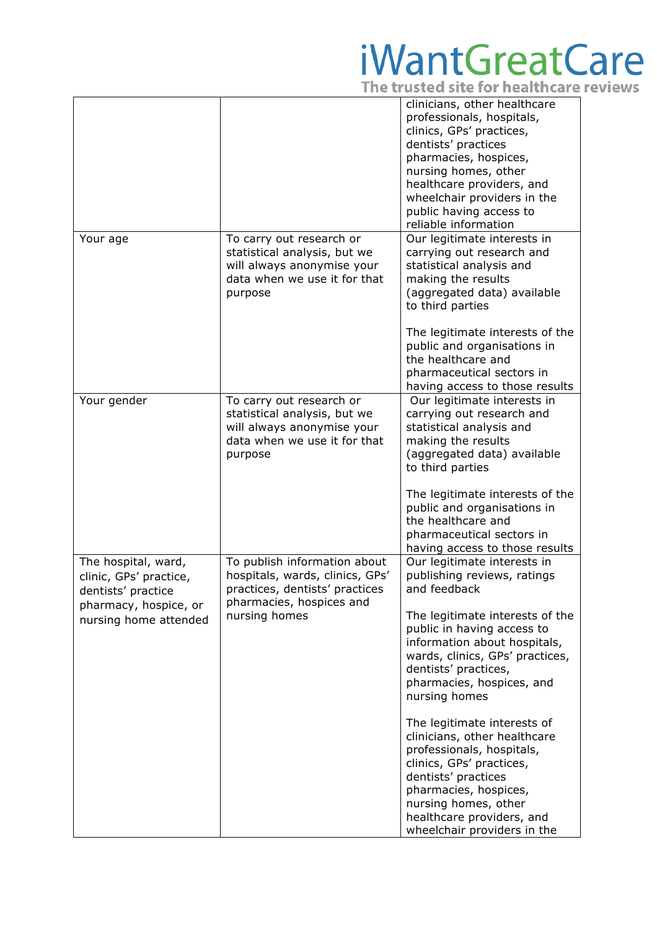|                                                                                                                       |                                                                                                                                                | clinicians, other healthcare<br>professionals, hospitals,<br>clinics, GPs' practices,<br>dentists' practices<br>pharmacies, hospices,<br>nursing homes, other<br>healthcare providers, and<br>wheelchair providers in the<br>public having access to<br>reliable information                                                                                                                                                                                                                                                                     |
|-----------------------------------------------------------------------------------------------------------------------|------------------------------------------------------------------------------------------------------------------------------------------------|--------------------------------------------------------------------------------------------------------------------------------------------------------------------------------------------------------------------------------------------------------------------------------------------------------------------------------------------------------------------------------------------------------------------------------------------------------------------------------------------------------------------------------------------------|
| Your age                                                                                                              | To carry out research or<br>statistical analysis, but we<br>will always anonymise your<br>data when we use it for that<br>purpose              | Our legitimate interests in<br>carrying out research and<br>statistical analysis and<br>making the results<br>(aggregated data) available<br>to third parties<br>The legitimate interests of the<br>public and organisations in<br>the healthcare and<br>pharmaceutical sectors in<br>having access to those results                                                                                                                                                                                                                             |
| Your gender                                                                                                           | To carry out research or<br>statistical analysis, but we<br>will always anonymise your<br>data when we use it for that<br>purpose              | Our legitimate interests in<br>carrying out research and<br>statistical analysis and<br>making the results<br>(aggregated data) available<br>to third parties<br>The legitimate interests of the<br>public and organisations in<br>the healthcare and<br>pharmaceutical sectors in<br>having access to those results                                                                                                                                                                                                                             |
| The hospital, ward,<br>clinic, GPs' practice,<br>dentists' practice<br>pharmacy, hospice, or<br>nursing home attended | To publish information about<br>hospitals, wards, clinics, GPs'<br>practices, dentists' practices<br>pharmacies, hospices and<br>nursing homes | Our legitimate interests in<br>publishing reviews, ratings<br>and feedback<br>The legitimate interests of the<br>public in having access to<br>information about hospitals,<br>wards, clinics, GPs' practices,<br>dentists' practices,<br>pharmacies, hospices, and<br>nursing homes<br>The legitimate interests of<br>clinicians, other healthcare<br>professionals, hospitals,<br>clinics, GPs' practices,<br>dentists' practices<br>pharmacies, hospices,<br>nursing homes, other<br>healthcare providers, and<br>wheelchair providers in the |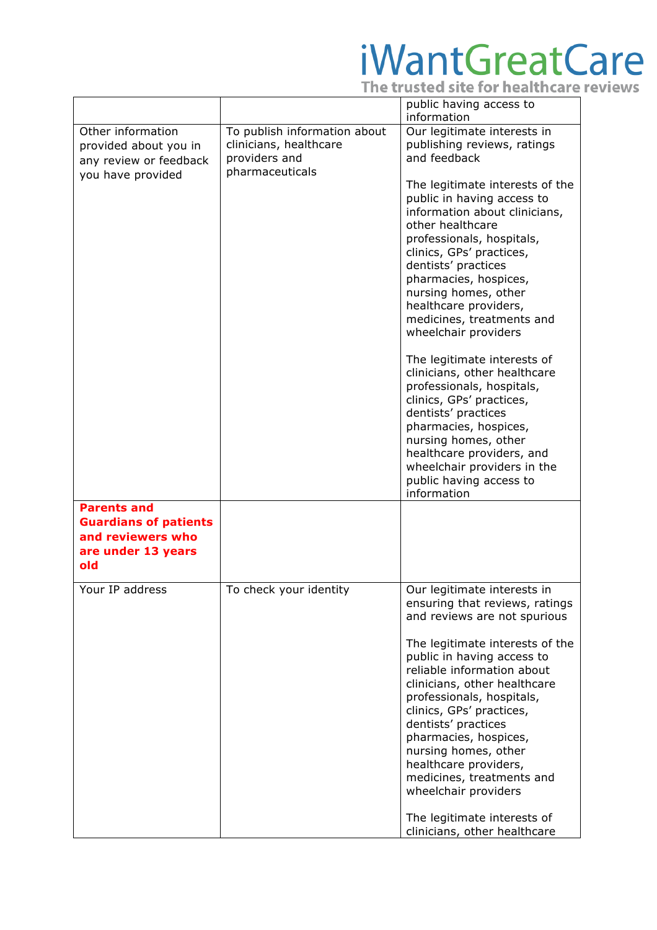|                                                                                                      |                                                                                            | public having access to<br>information                                                                                                                                                                                                                                                                                                                                                                                                                                                                                                                                                                                                                                      |
|------------------------------------------------------------------------------------------------------|--------------------------------------------------------------------------------------------|-----------------------------------------------------------------------------------------------------------------------------------------------------------------------------------------------------------------------------------------------------------------------------------------------------------------------------------------------------------------------------------------------------------------------------------------------------------------------------------------------------------------------------------------------------------------------------------------------------------------------------------------------------------------------------|
| Other information<br>provided about you in<br>any review or feedback<br>you have provided            | To publish information about<br>clinicians, healthcare<br>providers and<br>pharmaceuticals | Our legitimate interests in<br>publishing reviews, ratings<br>and feedback<br>The legitimate interests of the<br>public in having access to<br>information about clinicians,<br>other healthcare<br>professionals, hospitals,<br>clinics, GPs' practices,<br>dentists' practices<br>pharmacies, hospices,<br>nursing homes, other<br>healthcare providers,<br>medicines, treatments and<br>wheelchair providers<br>The legitimate interests of<br>clinicians, other healthcare<br>professionals, hospitals,<br>clinics, GPs' practices,<br>dentists' practices<br>pharmacies, hospices,<br>nursing homes, other<br>healthcare providers, and<br>wheelchair providers in the |
| <b>Parents and</b><br><b>Guardians of patients</b><br>and reviewers who<br>are under 13 years<br>old |                                                                                            | public having access to<br>information                                                                                                                                                                                                                                                                                                                                                                                                                                                                                                                                                                                                                                      |
| Your IP address                                                                                      | To check your identity                                                                     | Our legitimate interests in<br>ensuring that reviews, ratings<br>and reviews are not spurious<br>The legitimate interests of the<br>public in having access to<br>reliable information about<br>clinicians, other healthcare<br>professionals, hospitals,<br>clinics, GPs' practices,<br>dentists' practices<br>pharmacies, hospices,<br>nursing homes, other<br>healthcare providers,<br>medicines, treatments and<br>wheelchair providers<br>The legitimate interests of<br>clinicians, other healthcare                                                                                                                                                                  |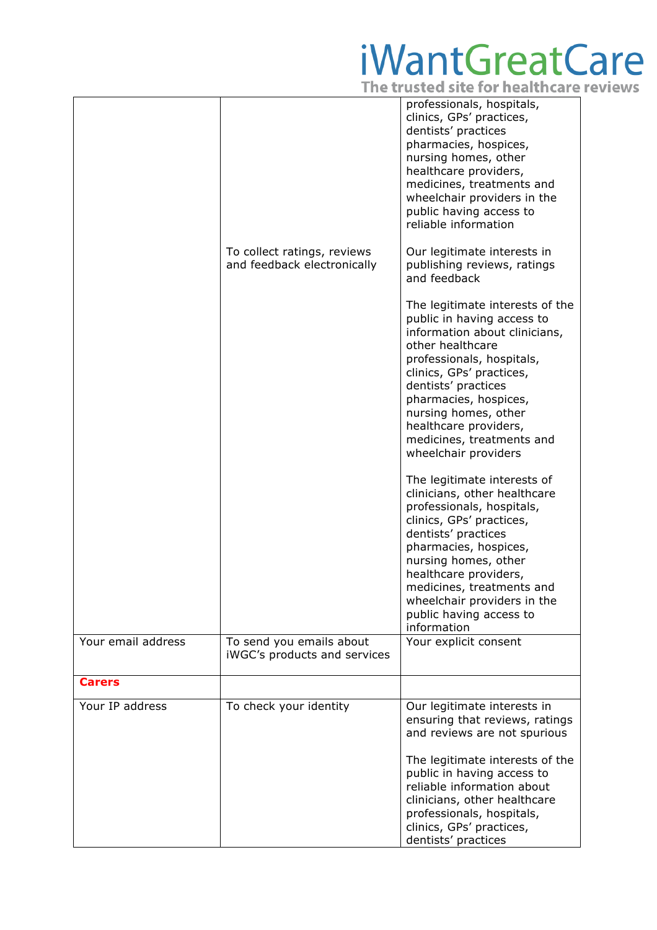|                    |                                                            | professionals, hospitals,<br>clinics, GPs' practices,<br>dentists' practices<br>pharmacies, hospices,<br>nursing homes, other<br>healthcare providers,<br>medicines, treatments and<br>wheelchair providers in the<br>public having access to<br>reliable information                                                             |
|--------------------|------------------------------------------------------------|-----------------------------------------------------------------------------------------------------------------------------------------------------------------------------------------------------------------------------------------------------------------------------------------------------------------------------------|
|                    | To collect ratings, reviews<br>and feedback electronically | Our legitimate interests in<br>publishing reviews, ratings<br>and feedback                                                                                                                                                                                                                                                        |
|                    |                                                            | The legitimate interests of the<br>public in having access to<br>information about clinicians,<br>other healthcare<br>professionals, hospitals,<br>clinics, GPs' practices,<br>dentists' practices<br>pharmacies, hospices,<br>nursing homes, other<br>healthcare providers,<br>medicines, treatments and<br>wheelchair providers |
|                    |                                                            | The legitimate interests of<br>clinicians, other healthcare<br>professionals, hospitals,<br>clinics, GPs' practices,<br>dentists' practices<br>pharmacies, hospices,<br>nursing homes, other<br>healthcare providers,<br>medicines, treatments and<br>wheelchair providers in the<br>public having access to<br>information       |
| Your email address | To send you emails about<br>iWGC's products and services   | Your explicit consent                                                                                                                                                                                                                                                                                                             |
| <b>Carers</b>      |                                                            |                                                                                                                                                                                                                                                                                                                                   |
| Your IP address    | To check your identity                                     | Our legitimate interests in<br>ensuring that reviews, ratings<br>and reviews are not spurious<br>The legitimate interests of the<br>public in having access to<br>reliable information about<br>clinicians, other healthcare<br>professionals, hospitals,                                                                         |
|                    |                                                            | clinics, GPs' practices,<br>dentists' practices                                                                                                                                                                                                                                                                                   |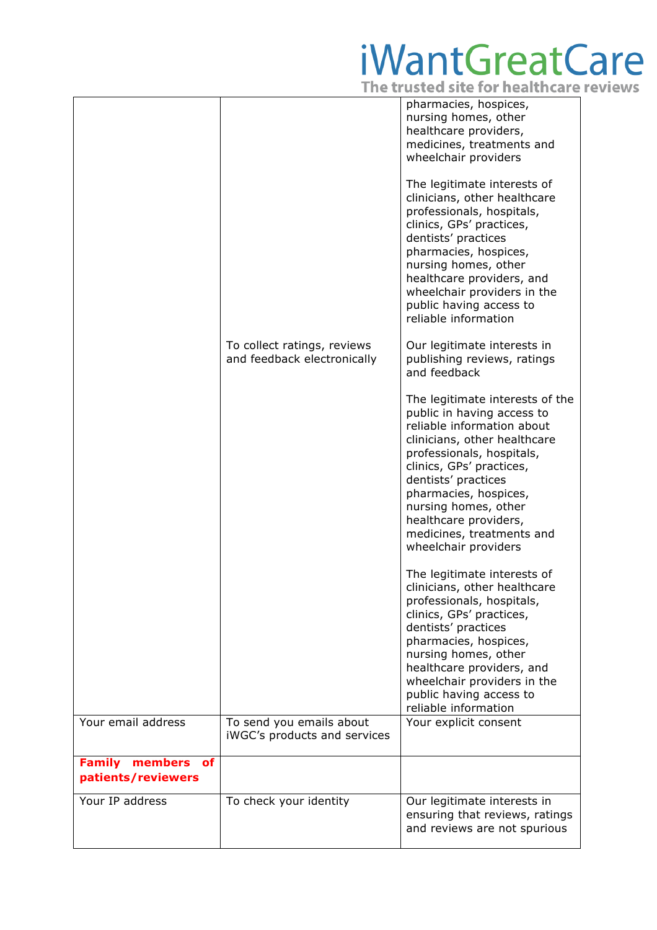|                                                      |                                                            | pharmacies, hospices,<br>nursing homes, other<br>healthcare providers,<br>medicines, treatments and<br>wheelchair providers<br>The legitimate interests of                                                                                                                                                                                 |
|------------------------------------------------------|------------------------------------------------------------|--------------------------------------------------------------------------------------------------------------------------------------------------------------------------------------------------------------------------------------------------------------------------------------------------------------------------------------------|
|                                                      |                                                            | clinicians, other healthcare<br>professionals, hospitals,<br>clinics, GPs' practices,<br>dentists' practices<br>pharmacies, hospices,<br>nursing homes, other<br>healthcare providers, and<br>wheelchair providers in the<br>public having access to<br>reliable information                                                               |
|                                                      | To collect ratings, reviews<br>and feedback electronically | Our legitimate interests in<br>publishing reviews, ratings<br>and feedback                                                                                                                                                                                                                                                                 |
|                                                      |                                                            | The legitimate interests of the<br>public in having access to<br>reliable information about<br>clinicians, other healthcare<br>professionals, hospitals,<br>clinics, GPs' practices,<br>dentists' practices<br>pharmacies, hospices,<br>nursing homes, other<br>healthcare providers,<br>medicines, treatments and<br>wheelchair providers |
|                                                      |                                                            | The legitimate interests of<br>clinicians, other healthcare<br>professionals, hospitals,<br>clinics, GPs' practices,<br>dentists' practices<br>pharmacies, hospices,<br>nursing homes, other<br>healthcare providers, and<br>wheelchair providers in the<br>public having access to<br>reliable information                                |
| Your email address                                   | To send you emails about<br>iWGC's products and services   | Your explicit consent                                                                                                                                                                                                                                                                                                                      |
| <b>Family</b><br>members<br>of<br>patients/reviewers |                                                            |                                                                                                                                                                                                                                                                                                                                            |
| Your IP address                                      | To check your identity                                     | Our legitimate interests in<br>ensuring that reviews, ratings<br>and reviews are not spurious                                                                                                                                                                                                                                              |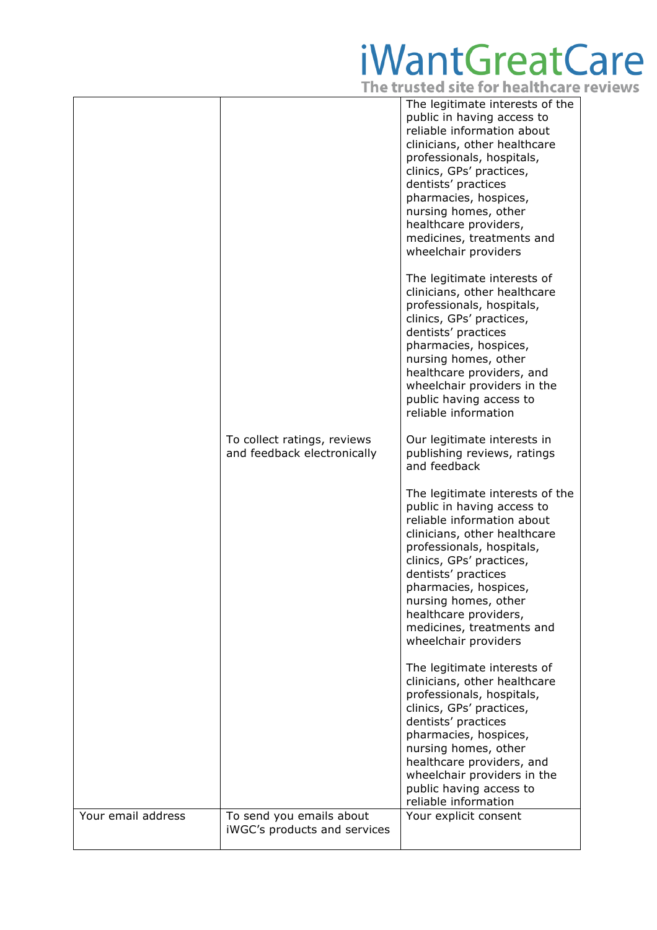|                    |                                                            | The legitimate interests of the<br>public in having access to<br>reliable information about<br>clinicians, other healthcare<br>professionals, hospitals,<br>clinics, GPs' practices,<br>dentists' practices<br>pharmacies, hospices,<br>nursing homes, other<br>healthcare providers,<br>medicines, treatments and<br>wheelchair providers |
|--------------------|------------------------------------------------------------|--------------------------------------------------------------------------------------------------------------------------------------------------------------------------------------------------------------------------------------------------------------------------------------------------------------------------------------------|
|                    |                                                            | The legitimate interests of<br>clinicians, other healthcare<br>professionals, hospitals,<br>clinics, GPs' practices,<br>dentists' practices<br>pharmacies, hospices,<br>nursing homes, other<br>healthcare providers, and<br>wheelchair providers in the<br>public having access to<br>reliable information                                |
|                    | To collect ratings, reviews<br>and feedback electronically | Our legitimate interests in<br>publishing reviews, ratings<br>and feedback                                                                                                                                                                                                                                                                 |
|                    |                                                            | The legitimate interests of the<br>public in having access to<br>reliable information about<br>clinicians, other healthcare<br>professionals, hospitals,<br>clinics, GPs' practices,<br>dentists' practices<br>pharmacies, hospices,<br>nursing homes, other<br>healthcare providers,<br>medicines, treatments and<br>wheelchair providers |
|                    |                                                            | The legitimate interests of<br>clinicians, other healthcare<br>professionals, hospitals,<br>clinics, GPs' practices,<br>dentists' practices<br>pharmacies, hospices,<br>nursing homes, other<br>healthcare providers, and<br>wheelchair providers in the<br>public having access to<br>reliable information                                |
| Your email address | To send you emails about<br>iWGC's products and services   | Your explicit consent                                                                                                                                                                                                                                                                                                                      |
|                    |                                                            |                                                                                                                                                                                                                                                                                                                                            |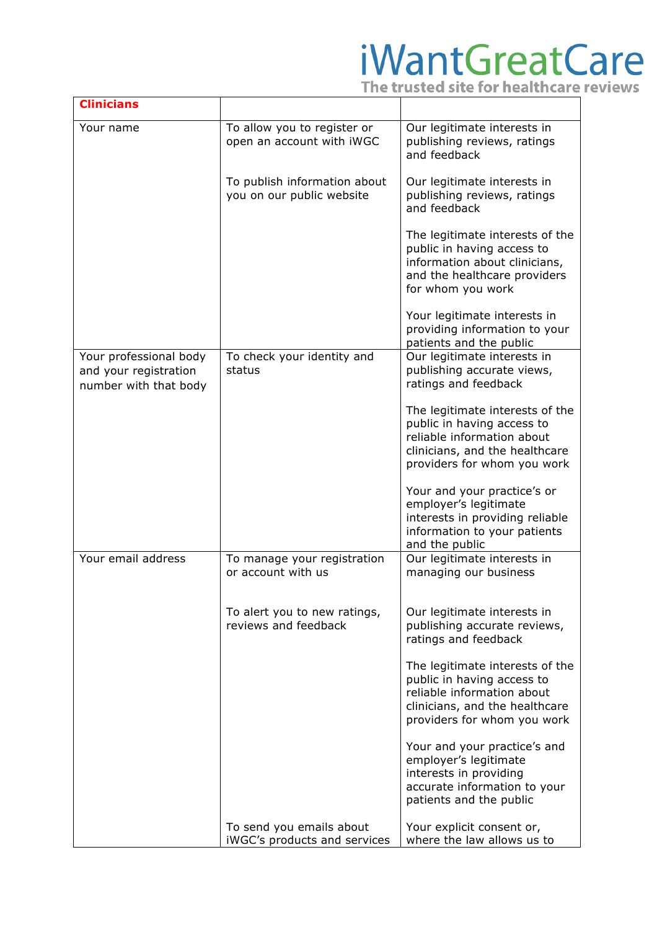| <b>Clinicians</b>                                                        |                                                           |                                                                                                                                                              |
|--------------------------------------------------------------------------|-----------------------------------------------------------|--------------------------------------------------------------------------------------------------------------------------------------------------------------|
| Your name                                                                | To allow you to register or<br>open an account with iWGC  | Our legitimate interests in<br>publishing reviews, ratings<br>and feedback                                                                                   |
|                                                                          | To publish information about<br>you on our public website | Our legitimate interests in<br>publishing reviews, ratings<br>and feedback                                                                                   |
|                                                                          |                                                           | The legitimate interests of the<br>public in having access to<br>information about clinicians,<br>and the healthcare providers<br>for whom you work          |
|                                                                          |                                                           | Your legitimate interests in<br>providing information to your<br>patients and the public                                                                     |
| Your professional body<br>and your registration<br>number with that body | To check your identity and<br>status                      | Our legitimate interests in<br>publishing accurate views,<br>ratings and feedback                                                                            |
|                                                                          |                                                           | The legitimate interests of the<br>public in having access to<br>reliable information about<br>clinicians, and the healthcare<br>providers for whom you work |
|                                                                          |                                                           | Your and your practice's or<br>employer's legitimate<br>interests in providing reliable<br>information to your patients<br>and the public                    |
| Your email address                                                       | To manage your registration<br>or account with us         | Our legitimate interests in<br>managing our business                                                                                                         |
|                                                                          | To alert you to new ratings,<br>reviews and feedback      | Our legitimate interests in<br>publishing accurate reviews,<br>ratings and feedback                                                                          |
|                                                                          |                                                           | The legitimate interests of the<br>public in having access to<br>reliable information about<br>clinicians, and the healthcare<br>providers for whom you work |
|                                                                          |                                                           | Your and your practice's and<br>employer's legitimate<br>interests in providing<br>accurate information to your<br>patients and the public                   |
|                                                                          | To send you emails about<br>iWGC's products and services  | Your explicit consent or,<br>where the law allows us to                                                                                                      |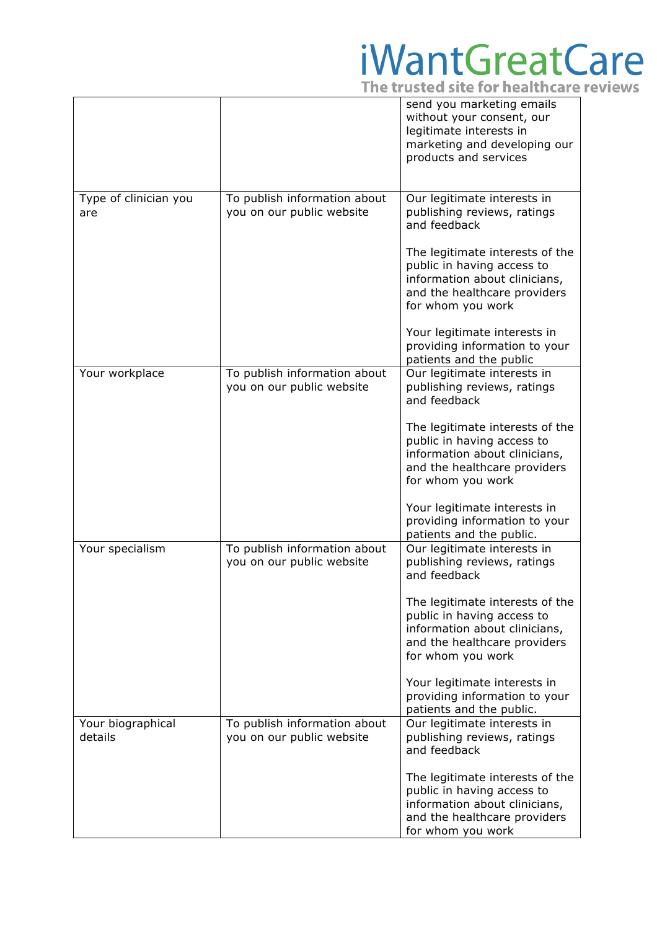|                              |                                                           | send you marketing emails<br>without your consent, our<br>legitimate interests in<br>marketing and developing our<br>products and services          |
|------------------------------|-----------------------------------------------------------|-----------------------------------------------------------------------------------------------------------------------------------------------------|
|                              |                                                           |                                                                                                                                                     |
| Type of clinician you<br>are | To publish information about<br>you on our public website | Our legitimate interests in<br>publishing reviews, ratings<br>and feedback                                                                          |
|                              |                                                           | The legitimate interests of the<br>public in having access to<br>information about clinicians,<br>and the healthcare providers<br>for whom you work |
|                              |                                                           | Your legitimate interests in<br>providing information to your<br>patients and the public                                                            |
| Your workplace               | To publish information about<br>you on our public website | Our legitimate interests in<br>publishing reviews, ratings<br>and feedback                                                                          |
|                              |                                                           | The legitimate interests of the<br>public in having access to<br>information about clinicians,<br>and the healthcare providers<br>for whom you work |
|                              |                                                           | Your legitimate interests in<br>providing information to your<br>patients and the public.                                                           |
| Your specialism              | To publish information about<br>you on our public website | Our legitimate interests in<br>publishing reviews, ratings<br>and feedback                                                                          |
|                              |                                                           | The legitimate interests of the<br>public in having access to<br>information about clinicians,<br>and the healthcare providers<br>for whom you work |
|                              |                                                           | Your legitimate interests in<br>providing information to your<br>patients and the public.                                                           |
| Your biographical<br>details | To publish information about<br>you on our public website | Our legitimate interests in<br>publishing reviews, ratings<br>and feedback                                                                          |
|                              |                                                           | The legitimate interests of the<br>public in having access to<br>information about clinicians,<br>and the healthcare providers<br>for whom you work |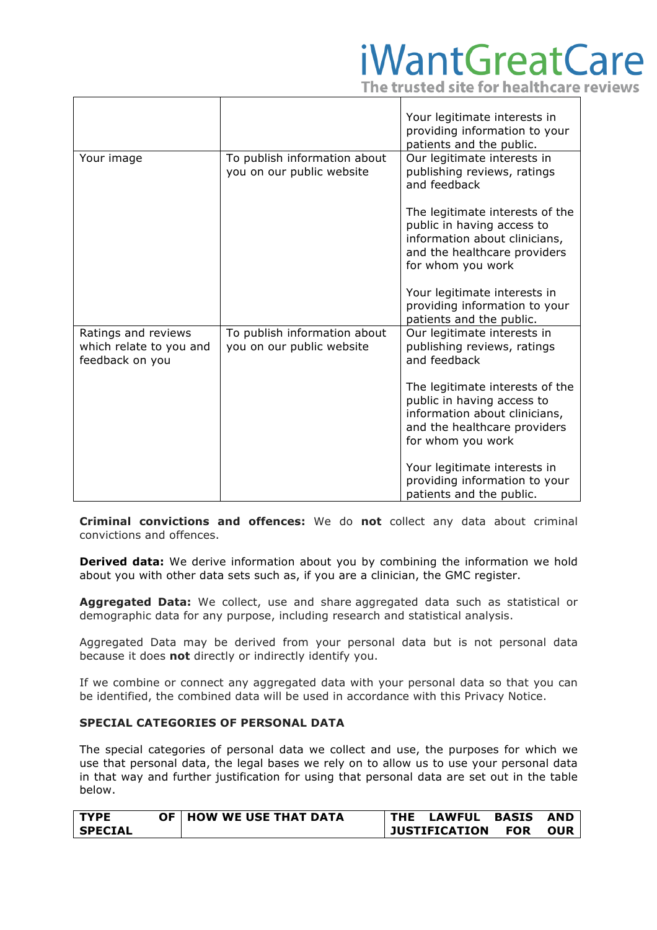The trusted site for healthcare reviews

|                                                                   |                                                           | Your legitimate interests in<br>providing information to your<br>patients and the public.                                                           |
|-------------------------------------------------------------------|-----------------------------------------------------------|-----------------------------------------------------------------------------------------------------------------------------------------------------|
| Your image                                                        | To publish information about<br>you on our public website | Our legitimate interests in<br>publishing reviews, ratings<br>and feedback                                                                          |
|                                                                   |                                                           | The legitimate interests of the<br>public in having access to<br>information about clinicians,<br>and the healthcare providers<br>for whom you work |
|                                                                   |                                                           | Your legitimate interests in<br>providing information to your<br>patients and the public.                                                           |
| Ratings and reviews<br>which relate to you and<br>feedback on you | To publish information about<br>you on our public website | Our legitimate interests in<br>publishing reviews, ratings<br>and feedback                                                                          |
|                                                                   |                                                           | The legitimate interests of the<br>public in having access to<br>information about clinicians,<br>and the healthcare providers<br>for whom you work |
|                                                                   |                                                           | Your legitimate interests in<br>providing information to your<br>patients and the public.                                                           |

**Criminal convictions and offences:** We do **not** collect any data about criminal convictions and offences.

**Derived data:** We derive information about you by combining the information we hold about you with other data sets such as, if you are a clinician, the GMC register.

**Aggregated Data:** We collect, use and share aggregated data such as statistical or demographic data for any purpose, including research and statistical analysis.

Aggregated Data may be derived from your personal data but is not personal data because it does **not** directly or indirectly identify you.

If we combine or connect any aggregated data with your personal data so that you can be identified, the combined data will be used in accordance with this Privacy Notice.

### **SPECIAL CATEGORIES OF PERSONAL DATA**

The special categories of personal data we collect and use, the purposes for which we use that personal data, the legal bases we rely on to allow us to use your personal data in that way and further justification for using that personal data are set out in the table below.

| <b>TYPE</b>    | <b>OF   HOW WE USE THAT DATA</b> | <b>THE LAWFUL BASIS</b> |            | <b>AND</b> |
|----------------|----------------------------------|-------------------------|------------|------------|
| <b>SPECIAL</b> |                                  | <b>JUSTIFICATION</b>    | <b>FOR</b> | <b>OUR</b> |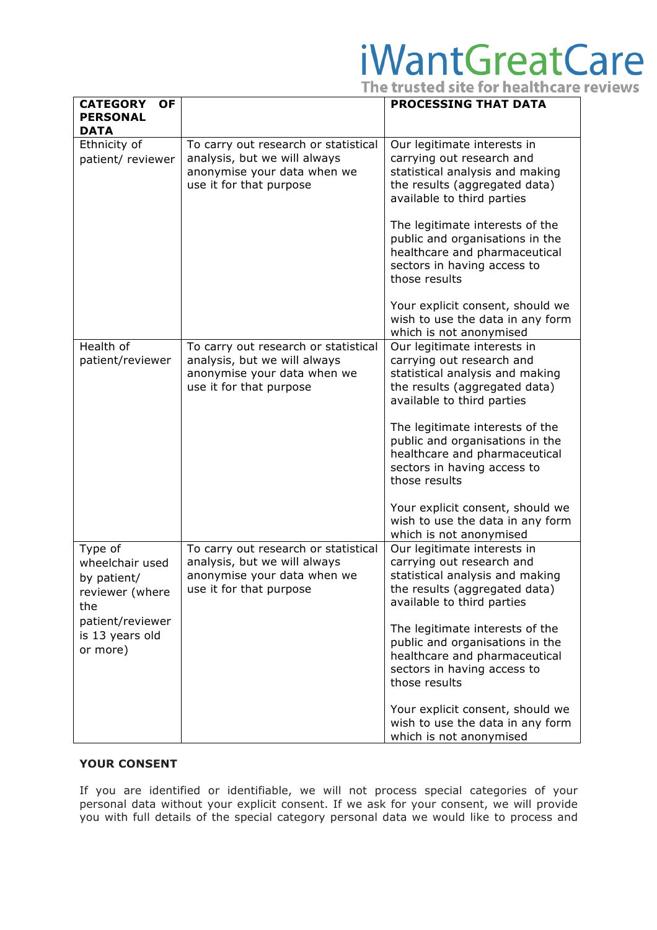|                          | The trusted site for healthcare reviews |  |
|--------------------------|-----------------------------------------|--|
| -- - -------- ---- - - - |                                         |  |

| <b>CATEGORY</b><br><b>OF</b>                                                                                           |                                                                                                                                | <b>PROCESSING THAT DATA</b>                                                                                                                                                                                                                                                                                                                                                                                          |
|------------------------------------------------------------------------------------------------------------------------|--------------------------------------------------------------------------------------------------------------------------------|----------------------------------------------------------------------------------------------------------------------------------------------------------------------------------------------------------------------------------------------------------------------------------------------------------------------------------------------------------------------------------------------------------------------|
| <b>PERSONAL</b><br><b>DATA</b>                                                                                         |                                                                                                                                |                                                                                                                                                                                                                                                                                                                                                                                                                      |
| Ethnicity of<br>patient/ reviewer                                                                                      | To carry out research or statistical<br>analysis, but we will always<br>anonymise your data when we<br>use it for that purpose | Our legitimate interests in<br>carrying out research and<br>statistical analysis and making<br>the results (aggregated data)<br>available to third parties<br>The legitimate interests of the<br>public and organisations in the<br>healthcare and pharmaceutical<br>sectors in having access to<br>those results                                                                                                    |
|                                                                                                                        |                                                                                                                                | Your explicit consent, should we<br>wish to use the data in any form<br>which is not anonymised                                                                                                                                                                                                                                                                                                                      |
| Health of<br>patient/reviewer                                                                                          | To carry out research or statistical<br>analysis, but we will always<br>anonymise your data when we<br>use it for that purpose | Our legitimate interests in<br>carrying out research and<br>statistical analysis and making<br>the results (aggregated data)<br>available to third parties<br>The legitimate interests of the<br>public and organisations in the<br>healthcare and pharmaceutical<br>sectors in having access to<br>those results<br>Your explicit consent, should we<br>wish to use the data in any form<br>which is not anonymised |
| Type of<br>wheelchair used<br>by patient/<br>reviewer (where<br>the<br>patient/reviewer<br>is 13 years old<br>or more) | To carry out research or statistical<br>analysis, but we will always<br>anonymise your data when we<br>use it for that purpose | Our legitimate interests in<br>carrying out research and<br>statistical analysis and making<br>the results (aggregated data)<br>available to third parties<br>The legitimate interests of the<br>public and organisations in the<br>healthcare and pharmaceutical<br>sectors in having access to<br>those results<br>Your explicit consent, should we<br>wish to use the data in any form<br>which is not anonymised |

### **YOUR CONSENT**

If you are identified or identifiable, we will not process special categories of your personal data without your explicit consent. If we ask for your consent, we will provide you with full details of the special category personal data we would like to process and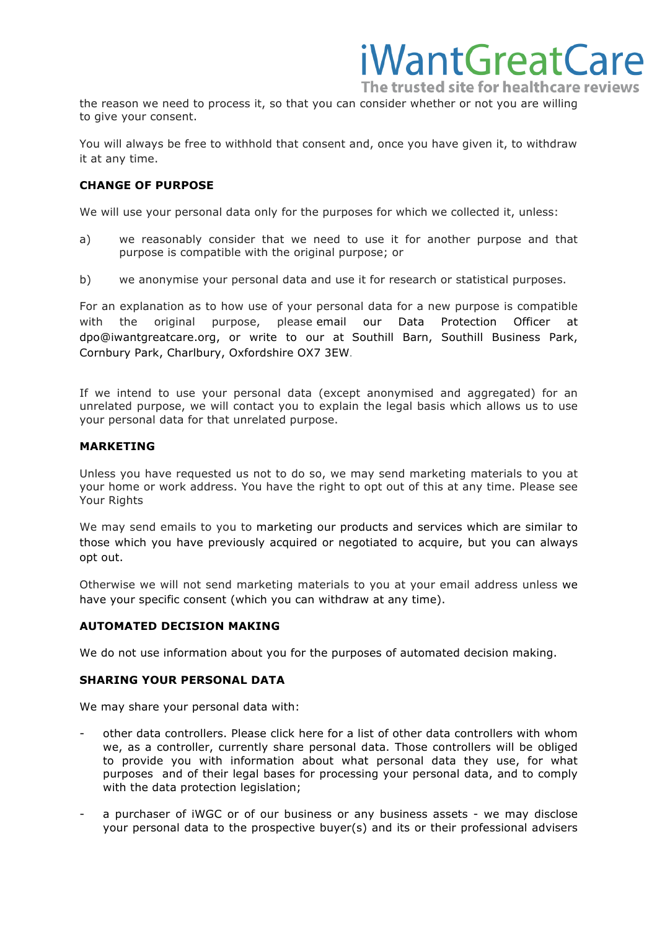the reason we need to process it, so that you can consider whether or not you are willing to give your consent.

You will always be free to withhold that consent and, once you have given it, to withdraw it at any time.

### **CHANGE OF PURPOSE**

We will use your personal data only for the purposes for which we collected it, unless:

- a) we reasonably consider that we need to use it for another purpose and that purpose is compatible with the original purpose; or
- b) we anonymise your personal data and use it for research or statistical purposes.

For an explanation as to how use of your personal data for a new purpose is compatible with the original purpose, please email our Data Protection Officer at dpo@iwantgreatcare.org, or write to our at Southill Barn, Southill Business Park, Cornbury Park, Charlbury, Oxfordshire OX7 3EW.

If we intend to use your personal data (except anonymised and aggregated) for an unrelated purpose, we will contact you to explain the legal basis which allows us to use your personal data for that unrelated purpose.

### **MARKETING**

Unless you have requested us not to do so, we may send marketing materials to you at your home or work address. You have the right to opt out of this at any time. Please see Your Rights

We may send emails to you to marketing our products and services which are similar to those which you have previously acquired or negotiated to acquire, but you can always opt out.

Otherwise we will not send marketing materials to you at your email address unless we have your specific consent (which you can withdraw at any time).

### **AUTOMATED DECISION MAKING**

We do not use information about you for the purposes of automated decision making.

### **SHARING YOUR PERSONAL DATA**

We may share your personal data with:

- other data controllers. Please click here for a list of other data controllers with whom we, as a controller, currently share personal data. Those controllers will be obliged to provide you with information about what personal data they use, for what purposes and of their legal bases for processing your personal data, and to comply with the data protection legislation;
- a purchaser of iWGC or of our business or any business assets we may disclose your personal data to the prospective buyer(s) and its or their professional advisers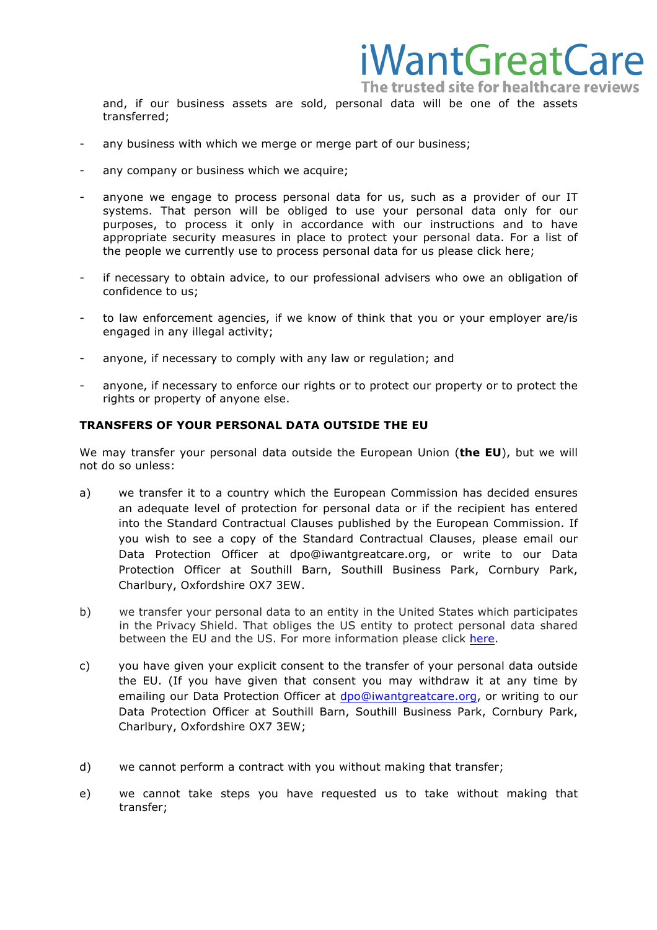and, if our business assets are sold, personal data will be one of the assets transferred;

- any business with which we merge or merge part of our business;
- any company or business which we acquire;
- anyone we engage to process personal data for us, such as a provider of our IT systems. That person will be obliged to use your personal data only for our purposes, to process it only in accordance with our instructions and to have appropriate security measures in place to protect your personal data. For a list of the people we currently use to process personal data for us please click here;
- if necessary to obtain advice, to our professional advisers who owe an obligation of confidence to us;
- to law enforcement agencies, if we know of think that you or your employer are/is engaged in any illegal activity;
- anyone, if necessary to comply with any law or regulation; and
- anyone, if necessary to enforce our rights or to protect our property or to protect the rights or property of anyone else.

### **TRANSFERS OF YOUR PERSONAL DATA OUTSIDE THE EU**

We may transfer your personal data outside the European Union (**the EU**), but we will not do so unless:

- a) we transfer it to a country which the European Commission has decided ensures an adequate level of protection for personal data or if the recipient has entered into the Standard Contractual Clauses published by the European Commission. If you wish to see a copy of the Standard Contractual Clauses, please email our Data Protection Officer at dpo@iwantgreatcare.org, or write to our Data Protection Officer at Southill Barn, Southill Business Park, Cornbury Park, Charlbury, Oxfordshire OX7 3EW.
- b) we transfer your personal data to an entity in the United States which participates in the Privacy Shield. That obliges the US entity to protect personal data shared between the EU and the US. For more information please click [here.](https://ec.europa.eu/info/law/law-topic/data-protection/data-transfers-outside-eu/eu-us-privacy-shield_en)
- c) you have given your explicit consent to the transfer of your personal data outside the EU. (If you have given that consent you may withdraw it at any time by emailing our Da[t](mailto:)a Protection Officer at [dpo@iwantgreatcare.org,](mailto:dpo@iwantgreatcare.org) or writing to our Data Protection Officer at Southill Barn, Southill Business Park, Cornbury Park, Charlbury, Oxfordshire OX7 3EW;
- d) we cannot perform a contract with you without making that transfer;
- e) we cannot take steps you have requested us to take without making that transfer;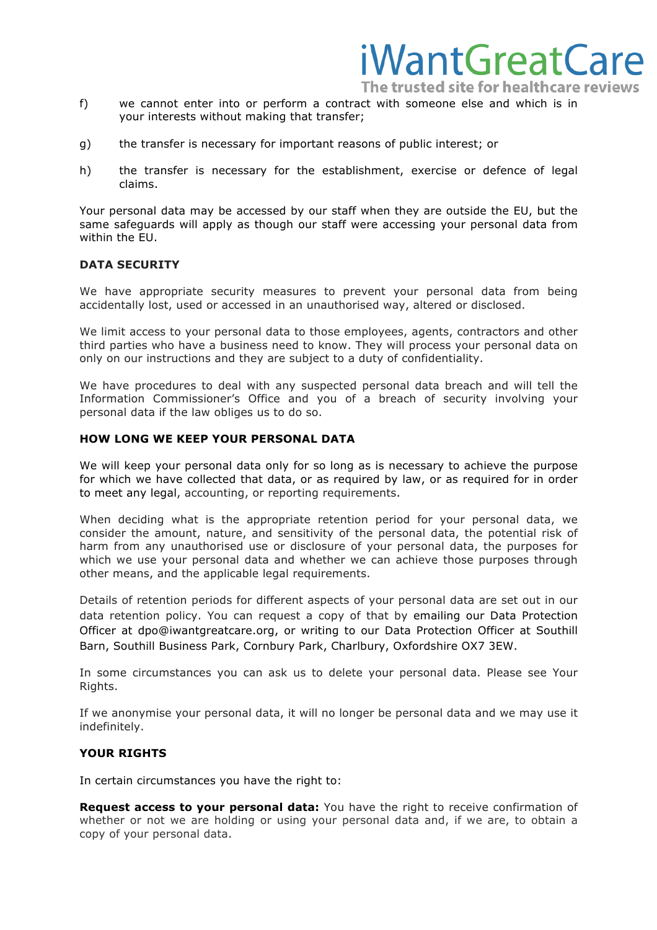The trusted site for healthcare reviews

iWantGreatCare

- f) we cannot enter into or perform a contract with someone else and which is in your interests without making that transfer;
- g) the transfer is necessary for important reasons of public interest; or
- h) the transfer is necessary for the establishment, exercise or defence of legal claims.

Your personal data may be accessed by our staff when they are outside the EU, but the same safeguards will apply as though our staff were accessing your personal data from within the EU.

### **DATA SECURITY**

We have appropriate security measures to prevent your personal data from being accidentally lost, used or accessed in an unauthorised way, altered or disclosed.

We limit access to your personal data to those employees, agents, contractors and other third parties who have a business need to know. They will process your personal data on only on our instructions and they are subject to a duty of confidentiality.

We have procedures to deal with any suspected personal data breach and will tell the Information Commissioner's Office and you of a breach of security involving your personal data if the law obliges us to do so.

#### **HOW LONG WE KEEP YOUR PERSONAL DATA**

We will keep your personal data only for so long as is necessary to achieve the purpose for which we have collected that data, or as required by law, or as required for in order to meet any legal, accounting, or reporting requirements.

When deciding what is the appropriate retention period for your personal data, we consider the amount, nature, and sensitivity of the personal data, the potential risk of harm from any unauthorised use or disclosure of your personal data, the purposes for which we use your personal data and whether we can achieve those purposes through other means, and the applicable legal requirements.

Details of retention periods for different aspects of your personal data are set out in our data retention policy. You can request a copy of that by emailing our Data Protection Officer at dpo@iwantgreatcare.org, or writing to our Data Protection Officer at Southill Barn, Southill Business Park, Cornbury Park, Charlbury, Oxfordshire OX7 3EW.

In some circumstances you can ask us to delete your personal data. Please see Your Rights.

If we anonymise your personal data, it will no longer be personal data and we may use it indefinitely.

### **YOUR RIGHTS**

In certain circumstances you have the right to:

**Request access to your personal data:** You have the right to receive confirmation of whether or not we are holding or using your personal data and, if we are, to obtain a copy of your personal data.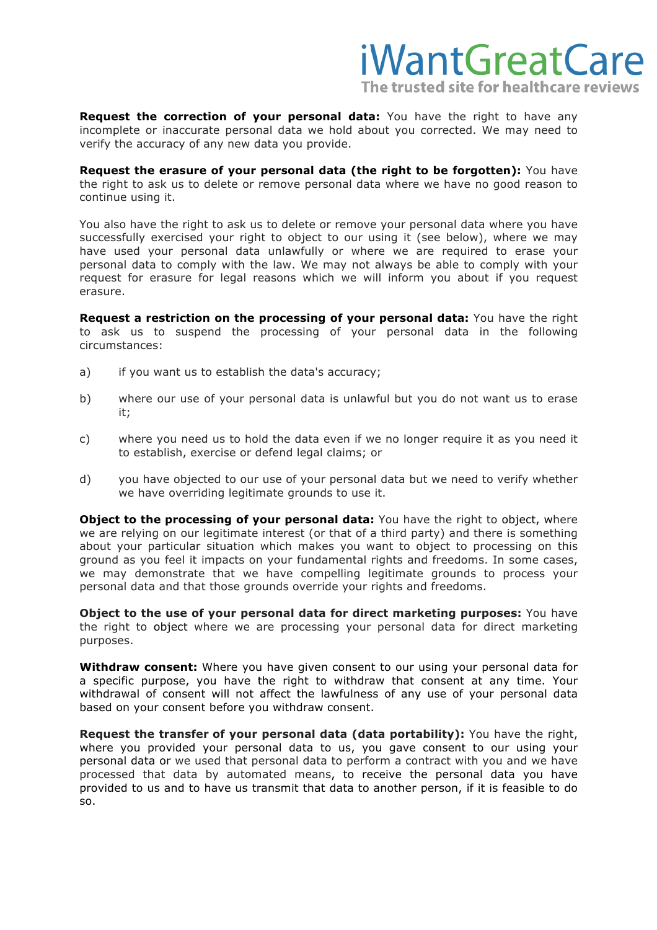

**Request the correction of your personal data:** You have the right to have any incomplete or inaccurate personal data we hold about you corrected. We may need to verify the accuracy of any new data you provide.

**Request the erasure of your personal data (the right to be forgotten):** You have the right to ask us to delete or remove personal data where we have no good reason to continue using it.

You also have the right to ask us to delete or remove your personal data where you have successfully exercised your right to object to our using it (see below), where we may have used your personal data unlawfully or where we are required to erase your personal data to comply with the law. We may not always be able to comply with your request for erasure for legal reasons which we will inform you about if you request erasure.

**Request a restriction on the processing of your personal data:** You have the right to ask us to suspend the processing of your personal data in the following circumstances:

- a) if you want us to establish the data's accuracy;
- b) where our use of your personal data is unlawful but you do not want us to erase it;
- c) where you need us to hold the data even if we no longer require it as you need it to establish, exercise or defend legal claims; or
- d) you have objected to our use of your personal data but we need to verify whether we have overriding legitimate grounds to use it.

**Object to the processing of your personal data:** You have the right to object, where we are relying on our legitimate interest (or that of a third party) and there is something about your particular situation which makes you want to object to processing on this ground as you feel it impacts on your fundamental rights and freedoms. In some cases, we may demonstrate that we have compelling legitimate grounds to process your personal data and that those grounds override your rights and freedoms.

**Object to the use of your personal data for direct marketing purposes:** You have the right to object where we are processing your personal data for direct marketing purposes.

**Withdraw consent:** Where you have given consent to our using your personal data for a specific purpose, you have the right to withdraw that consent at any time. Your withdrawal of consent will not affect the lawfulness of any use of your personal data based on your consent before you withdraw consent.

**Request the transfer of your personal data (data portability):** You have the right, where you provided your personal data to us, you gave consent to our using your personal data or we used that personal data to perform a contract with you and we have processed that data by automated means, to receive the personal data you have provided to us and to have us transmit that data to another person, if it is feasible to do so.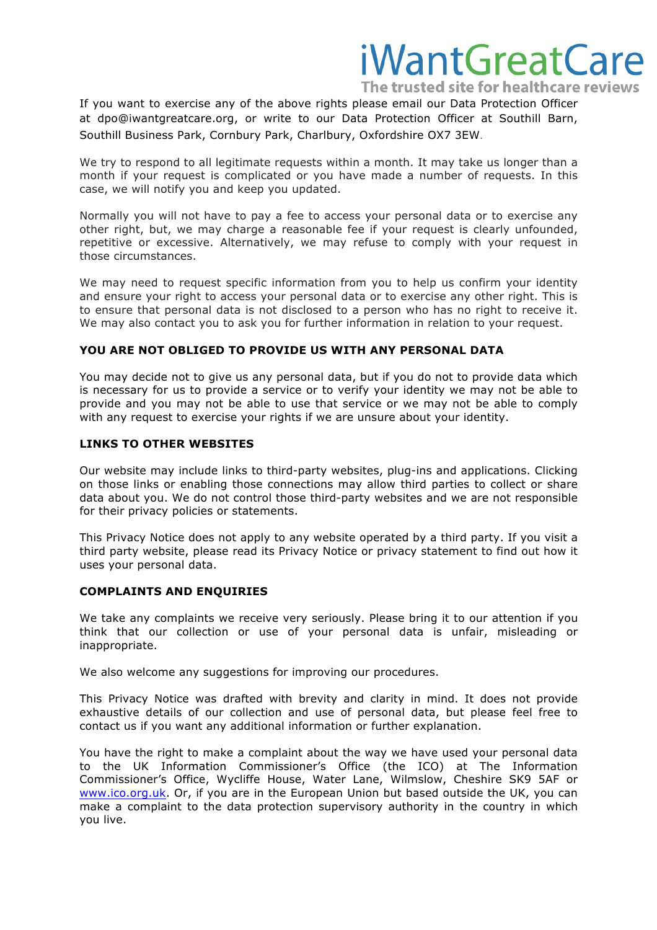The trusted site for healthcare reviews

If you want to exercise any of the above rights please email our Data Protection Officer at dpo@iwantgreatcare.org, or write to our Data Protection Officer at Southill Barn, Southill Business Park, Cornbury Park, Charlbury, Oxfordshire OX7 3EW.

We try to respond to all legitimate requests within a month. It may take us longer than a month if your request is complicated or you have made a number of requests. In this case, we will notify you and keep you updated.

Normally you will not have to pay a fee to access your personal data or to exercise any other right, but, we may charge a reasonable fee if your request is clearly unfounded, repetitive or excessive. Alternatively, we may refuse to comply with your request in those circumstances.

We may need to request specific information from you to help us confirm your identity and ensure your right to access your personal data or to exercise any other right. This is to ensure that personal data is not disclosed to a person who has no right to receive it. We may also contact you to ask you for further information in relation to your request.

### **YOU ARE NOT OBLIGED TO PROVIDE US WITH ANY PERSONAL DATA**

You may decide not to give us any personal data, but if you do not to provide data which is necessary for us to provide a service or to verify your identity we may not be able to provide and you may not be able to use that service or we may not be able to comply with any request to exercise your rights if we are unsure about your identity.

### **LINKS TO OTHER WEBSITES**

Our website may include links to third-party websites, plug-ins and applications. Clicking on those links or enabling those connections may allow third parties to collect or share data about you. We do not control those third-party websites and we are not responsible for their privacy policies or statements.

This Privacy Notice does not apply to any website operated by a third party. If you visit a third party website, please read its Privacy Notice or privacy statement to find out how it uses your personal data.

### **COMPLAINTS AND ENQUIRIES**

We take any complaints we receive very seriously. Please bring it to our attention if you think that our collection or use of your personal data is unfair, misleading or inappropriate.

We also welcome any suggestions for improving our procedures.

This Privacy Notice was drafted with brevity and clarity in mind. It does not provide exhaustive details of our collection and use of personal data, but please feel free to contact us if you want any additional information or further explanation.

You have the right to make a complaint about the way we have used your personal data to the UK Information Commissioner's Office (the ICO) at The Information Commissioner's Office, Wycliffe House, Water Lane, Wilmslow, Cheshire SK9 5AF or [www.ico.org.uk](http://www.ico.org.uk). Or, if you are in the European Union but based outside the UK, you can make a complaint to the data protection supervisory authority in the country in which you live.